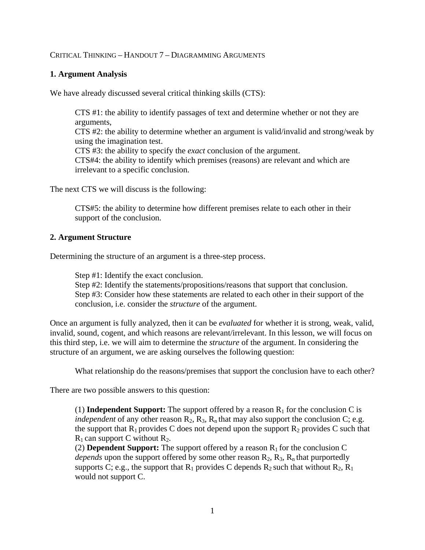## CRITICAL THINKING – HANDOUT 7 – DIAGRAMMING ARGUMENTS

## **1. Argument Analysis**

We have already discussed several critical thinking skills (CTS):

CTS #1: the ability to identify passages of text and determine whether or not they are arguments, CTS #2: the ability to determine whether an argument is valid/invalid and strong/weak by using the imagination test. CTS #3: the ability to specify the *exact* conclusion of the argument. CTS#4: the ability to identify which premises (reasons) are relevant and which are irrelevant to a specific conclusion.

The next CTS we will discuss is the following:

CTS#5: the ability to determine how different premises relate to each other in their support of the conclusion.

## **2. Argument Structure**

Determining the structure of an argument is a three-step process.

Step #1: Identify the exact conclusion.

Step #2: Identify the statements/propositions/reasons that support that conclusion. Step #3: Consider how these statements are related to each other in their support of the conclusion, i.e. consider the *structure* of the argument.

Once an argument is fully analyzed, then it can be *evaluated* for whether it is strong, weak, valid, invalid, sound, cogent, and which reasons are relevant/irrelevant. In this lesson, we will focus on this third step, i.e. we will aim to determine the *structure* of the argument. In considering the structure of an argument, we are asking ourselves the following question:

What relationship do the reasons/premises that support the conclusion have to each other?

There are two possible answers to this question:

(1) **Independent Support:** The support offered by a reason  $R_1$  for the conclusion C is *independent* of any other reason  $R_2$ ,  $R_3$ ,  $R_n$  that may also support the conclusion C; e.g. the support that  $R_1$  provides C does not depend upon the support  $R_2$  provides C such that  $R_1$  can support C without  $R_2$ .

(2) **Dependent Support:** The support offered by a reason  $R_1$  for the conclusion C *depends* upon the support offered by some other reason  $R_2$ ,  $R_3$ ,  $R_n$  that purportedly supports C; e.g., the support that  $R_1$  provides C depends  $R_2$  such that without  $R_2$ ,  $R_1$ would not support C.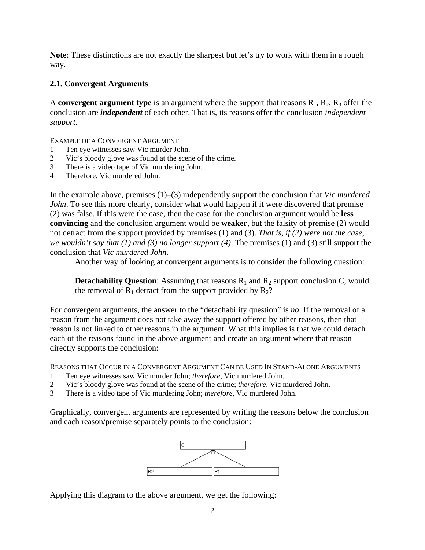**Note**: These distinctions are not exactly the sharpest but let's try to work with them in a rough way.

# **2.1. Convergent Arguments**

A **convergent argument type** is an argument where the support that reasons  $R_1$ ,  $R_2$ ,  $R_3$  offer the conclusion are *independent* of each other. That is, its reasons offer the conclusion *independent support*.

EXAMPLE OF A CONVERGENT ARGUMENT

- 1 Ten eye witnesses saw Vic murder John.
- 2 Vic's bloody glove was found at the scene of the crime.
- 3 There is a video tape of Vic murdering John.
- 4 Therefore, Vic murdered John.

In the example above, premises (1)–(3) independently support the conclusion that *Vic murdered John*. To see this more clearly, consider what would happen if it were discovered that premise (2) was false. If this were the case, then the case for the conclusion argument would be **less convincing** and the conclusion argument would be **weaker**, but the falsity of premise (2) would not detract from the support provided by premises (1) and (3). *That is, if (2) were not the case, we wouldn't say that (1) and (3) no longer support (4)*. The premises (1) and (3) still support the conclusion that *Vic murdered John.* 

Another way of looking at convergent arguments is to consider the following question:

**Detachability Question:** Assuming that reasons  $R_1$  and  $R_2$  support conclusion C, would the removal of  $R_1$  detract from the support provided by  $R_2$ ?

For convergent arguments, the answer to the "detachability question" is *no*. If the removal of a reason from the argument does not take away the support offered by other reasons, then that reason is not linked to other reasons in the argument. What this implies is that we could detach each of the reasons found in the above argument and create an argument where that reason directly supports the conclusion:

REASONS THAT OCCUR IN A CONVERGENT ARGUMENT CAN BE USED IN STAND-ALONE ARGUMENTS

- 1 Ten eye witnesses saw Vic murder John; *therefore*, Vic murdered John.
- 2 Vic's bloody glove was found at the scene of the crime; *therefore*, Vic murdered John.
- 3 There is a video tape of Vic murdering John; *therefore*, Vic murdered John.

Graphically, convergent arguments are represented by writing the reasons below the conclusion and each reason/premise separately points to the conclusion:



Applying this diagram to the above argument, we get the following: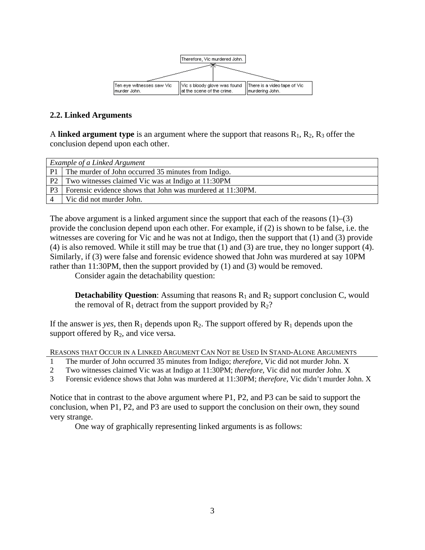

## **2.2. Linked Arguments**

A **linked argument type** is an argument where the support that reasons  $R_1$ ,  $R_2$ ,  $R_3$  offer the conclusion depend upon each other.

| Example of a Linked Argument |                                                            |
|------------------------------|------------------------------------------------------------|
| P <sub>1</sub>               | The murder of John occurred 35 minutes from Indigo.        |
|                              | P2 Two witnesses claimed Vic was at Indigo at 11:30PM      |
| P <sub>3</sub>               | Forensic evidence shows that John was murdered at 11:30PM. |
|                              | Vic did not murder John.                                   |

The above argument is a linked argument since the support that each of the reasons  $(1)$ – $(3)$ provide the conclusion depend upon each other. For example, if (2) is shown to be false, i.e. the witnesses are covering for Vic and he was not at Indigo, then the support that (1) and (3) provide (4) is also removed. While it still may be true that (1) and (3) are true, they no longer support (4). Similarly, if (3) were false and forensic evidence showed that John was murdered at say 10PM rather than 11:30PM, then the support provided by (1) and (3) would be removed.

Consider again the detachability question:

**Detachability Question**: Assuming that reasons  $R_1$  and  $R_2$  support conclusion C, would the removal of  $R_1$  detract from the support provided by  $R_2$ ?

If the answer is *yes*, then  $R_1$  depends upon  $R_2$ . The support offered by  $R_1$  depends upon the support offered by  $R_2$ , and vice versa.

REASONS THAT OCCUR IN A LINKED ARGUMENT CAN NOT BE USED IN STAND-ALONE ARGUMENTS

- 1 The murder of John occurred 35 minutes from Indigo; *therefore*, Vic did not murder John. X
- 2 Two witnesses claimed Vic was at Indigo at 11:30PM; *therefore*, Vic did not murder John. X

3 Forensic evidence shows that John was murdered at 11:30PM; *therefore*, Vic didn't murder John. X

Notice that in contrast to the above argument where P1, P2, and P3 can be said to support the conclusion, when P1, P2, and P3 are used to support the conclusion on their own, they sound very strange.

One way of graphically representing linked arguments is as follows: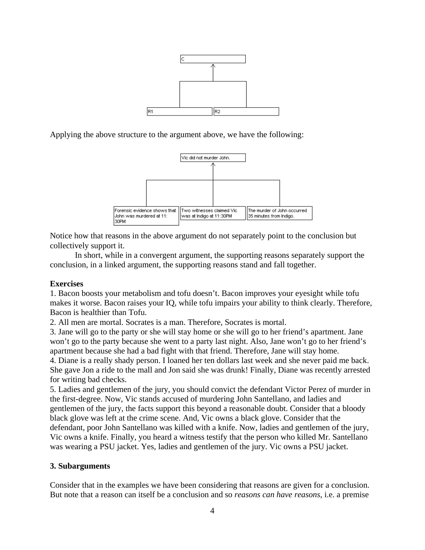

Applying the above structure to the argument above, we have the following:



Notice how that reasons in the above argument do not separately point to the conclusion but collectively support it.

In short, while in a convergent argument, the supporting reasons separately support the conclusion, in a linked argument, the supporting reasons stand and fall together.

#### **Exercises**

1. Bacon boosts your metabolism and tofu doesn't. Bacon improves your eyesight while tofu makes it worse. Bacon raises your IQ, while tofu impairs your ability to think clearly. Therefore, Bacon is healthier than Tofu.

2. All men are mortal. Socrates is a man. Therefore, Socrates is mortal.

3. Jane will go to the party or she will stay home or she will go to her friend's apartment. Jane won't go to the party because she went to a party last night. Also, Jane won't go to her friend's apartment because she had a bad fight with that friend. Therefore, Jane will stay home.

4. Diane is a really shady person. I loaned her ten dollars last week and she never paid me back. She gave Jon a ride to the mall and Jon said she was drunk! Finally, Diane was recently arrested for writing bad checks.

5. Ladies and gentlemen of the jury, you should convict the defendant Victor Perez of murder in the first-degree. Now, Vic stands accused of murdering John Santellano, and ladies and gentlemen of the jury, the facts support this beyond a reasonable doubt. Consider that a bloody black glove was left at the crime scene. And, Vic owns a black glove. Consider that the defendant, poor John Santellano was killed with a knife. Now, ladies and gentlemen of the jury, Vic owns a knife. Finally, you heard a witness testify that the person who killed Mr. Santellano was wearing a PSU jacket. Yes, ladies and gentlemen of the jury. Vic owns a PSU jacket.

#### **3. Subarguments**

Consider that in the examples we have been considering that reasons are given for a conclusion. But note that a reason can itself be a conclusion and so *reasons can have reasons*, i.e. a premise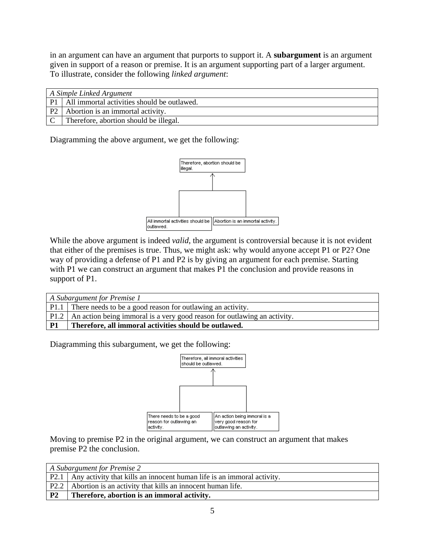in an argument can have an argument that purports to support it. A **subargument** is an argument given in support of a reason or premise. It is an argument supporting part of a larger argument. To illustrate, consider the following *linked argument*:

| A Simple Linked Argument |                                                  |
|--------------------------|--------------------------------------------------|
|                          | P1   All immortal activities should be outlawed. |
| P2                       | Abortion is an immortal activity.                |
|                          | Therefore, abortion should be illegal.           |

Diagramming the above argument, we get the following:



While the above argument is indeed *valid*, the argument is controversial because it is not evident that either of the premises is true. Thus, we might ask: why would anyone accept P1 or P2? One way of providing a defense of P1 and P2 is by giving an argument for each premise. Starting with P1 we can construct an argument that makes P1 the conclusion and provide reasons in support of P1.

| A Subargument for Premise 1 |                                                                                 |
|-----------------------------|---------------------------------------------------------------------------------|
|                             | P1.1 There needs to be a good reason for outlawing an activity.                 |
|                             | P1.2   An action being immoral is a very good reason for outlawing an activity. |
| - P1                        | Therefore, all immoral activities should be outlawed.                           |

Diagramming this subargument, we get the following:



Moving to premise P2 in the original argument, we can construct an argument that makes premise P2 the conclusion.

| A Subargument for Premise 2 |                                                                             |
|-----------------------------|-----------------------------------------------------------------------------|
|                             | P2.1 Any activity that kills an innocent human life is an immoral activity. |
|                             | P2.2 Abortion is an activity that kills an innocent human life.             |
| <b>P2</b>                   | Therefore, abortion is an immoral activity.                                 |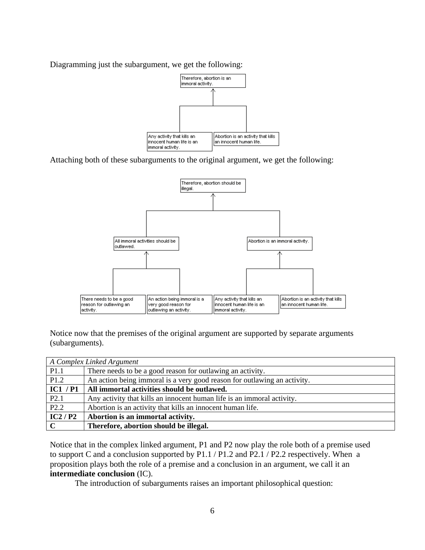Diagramming just the subargument, we get the following:



Attaching both of these subarguments to the original argument, we get the following:



Notice now that the premises of the original argument are supported by separate arguments (subarguments).

|              | A Complex Linked Argument                                                |
|--------------|--------------------------------------------------------------------------|
| P1.1         | There needs to be a good reason for outlawing an activity.               |
| P1.2         | An action being immoral is a very good reason for outlawing an activity. |
| IC1 / P1     | All immortal activities should be outlawed.                              |
| P2.1         | Any activity that kills an innocent human life is an immoral activity.   |
| P2.2         | Abortion is an activity that kills an innocent human life.               |
| IC2/P2       | Abortion is an immortal activity.                                        |
| $\mathbf{C}$ | Therefore, abortion should be illegal.                                   |

Notice that in the complex linked argument, P1 and P2 now play the role both of a premise used to support C and a conclusion supported by P1.1 / P1.2 and P2.1 / P2.2 respectively. When a proposition plays both the role of a premise and a conclusion in an argument, we call it an **intermediate conclusion** (IC).

The introduction of subarguments raises an important philosophical question: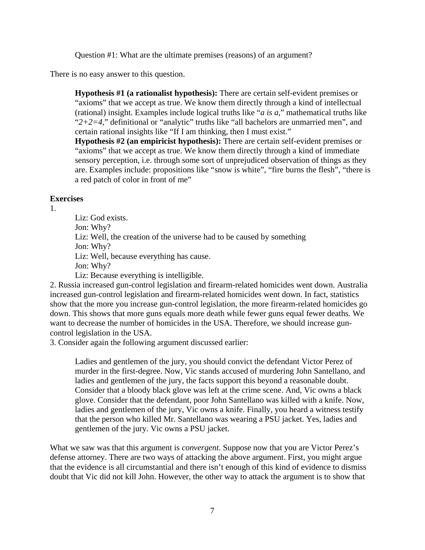Question #1: What are the ultimate premises (reasons) of an argument?

There is no easy answer to this question.

**Hypothesis #1 (a rationalist hypothesis):** There are certain self-evident premises or "axioms" that we accept as true. We know them directly through a kind of intellectual (rational) insight. Examples include logical truths like "*a is a*," mathematical truths like "*2+2=4,*" definitional or "analytic" truths like "all bachelors are unmarried men", and certain rational insights like "If I am thinking, then I must exist."

**Hypothesis #2 (an empiricist hypothesis):** There are certain self-evident premises or "axioms" that we accept as true. We know them directly through a kind of immediate sensory perception, i.e. through some sort of unprejudiced observation of things as they are. Examples include: propositions like "snow is white", "fire burns the flesh", "there is a red patch of color in front of me"

## **Exercises**

1.

Liz: God exists. Jon: Why? Liz: Well, the creation of the universe had to be caused by something Jon: Why? Liz: Well, because everything has cause. Jon: Why? Liz: Because everything is intelligible. 2. Russia increased gun-control legislation and firearm-related homicides went down. Australia increased gun-control legislation and firearm-related homicides went down. In fact, statistics show that the more you increase gun-control legislation, the more firearm-related homicides go

down. This shows that more guns equals more death while fewer guns equal fewer deaths. We want to decrease the number of homicides in the USA. Therefore, we should increase guncontrol legislation in the USA.

3. Consider again the following argument discussed earlier:

Ladies and gentlemen of the jury, you should convict the defendant Victor Perez of murder in the first-degree. Now, Vic stands accused of murdering John Santellano, and ladies and gentlemen of the jury, the facts support this beyond a reasonable doubt. Consider that a bloody black glove was left at the crime scene. And, Vic owns a black glove. Consider that the defendant, poor John Santellano was killed with a knife. Now, ladies and gentlemen of the jury, Vic owns a knife. Finally, you heard a witness testify that the person who killed Mr. Santellano was wearing a PSU jacket. Yes, ladies and gentlemen of the jury. Vic owns a PSU jacket.

What we saw was that this argument is *convergent*. Suppose now that you are Victor Perez's defense attorney. There are two ways of attacking the above argument. First, you might argue that the evidence is all circumstantial and there isn't enough of this kind of evidence to dismiss doubt that Vic did not kill John. However, the other way to attack the argument is to show that